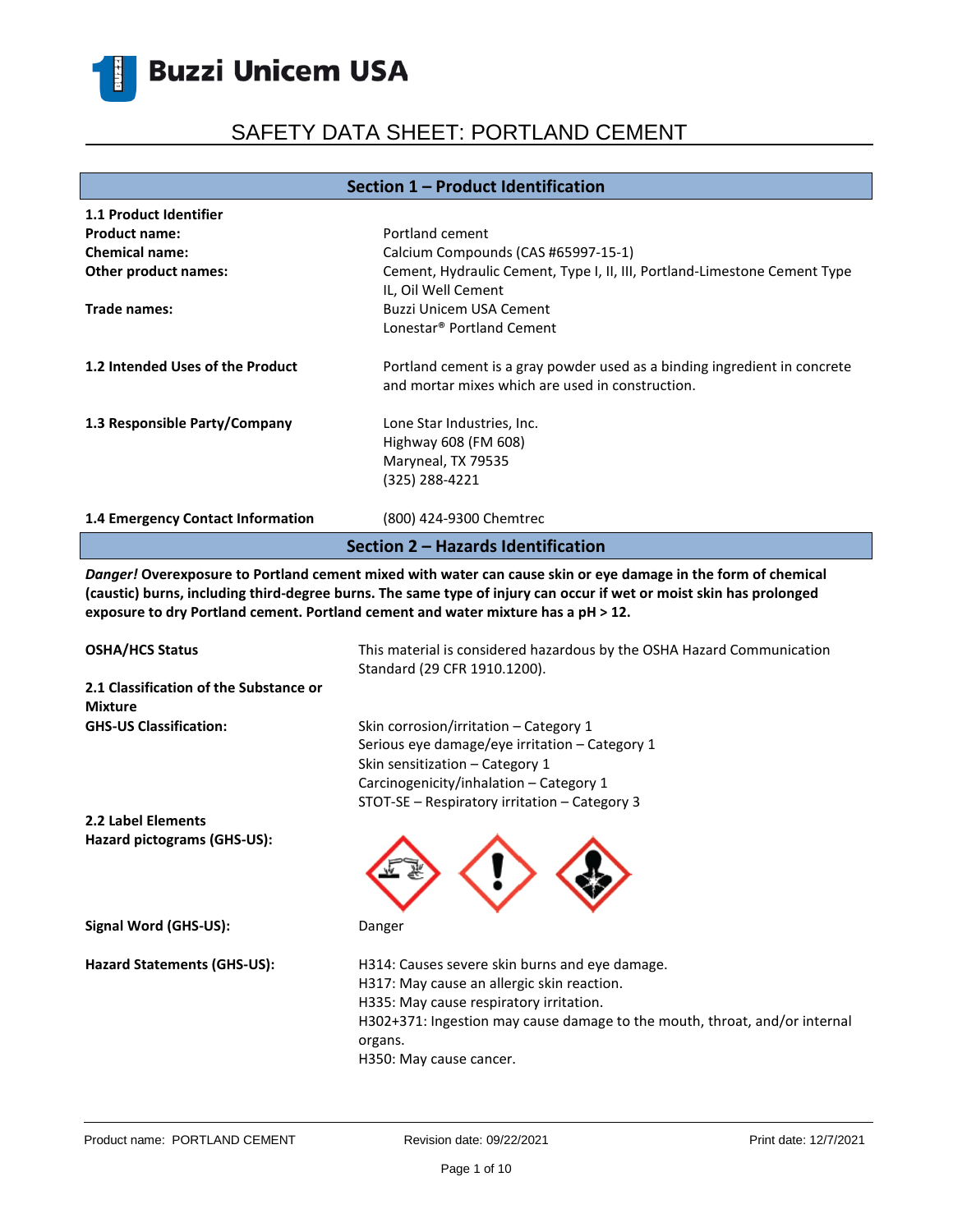# SAFETY DATA SHEET: PORTLAND CEMENT

### **Section 1 – Product Identification**

| 1.1 Product Identifier             |                                                                                                                               |  |
|------------------------------------|-------------------------------------------------------------------------------------------------------------------------------|--|
| <b>Product name:</b>               | Portland cement                                                                                                               |  |
| <b>Chemical name:</b>              | Calcium Compounds (CAS #65997-15-1)                                                                                           |  |
| Other product names:               | Cement, Hydraulic Cement, Type I, II, III, Portland-Limestone Cement Type<br>IL, Oil Well Cement                              |  |
| Trade names:                       | Buzzi Unicem USA Cement                                                                                                       |  |
|                                    | Lonestar <sup>®</sup> Portland Cement                                                                                         |  |
| 1.2 Intended Uses of the Product   | Portland cement is a gray powder used as a binding ingredient in concrete<br>and mortar mixes which are used in construction. |  |
| 1.3 Responsible Party/Company      | Lone Star Industries, Inc.<br>Highway 608 (FM 608)<br>Maryneal, TX 79535                                                      |  |
|                                    | (325) 288-4221                                                                                                                |  |
| 1.4 Emergency Contact Information  | (800) 424-9300 Chemtrec                                                                                                       |  |
| Section 2 - Hazards Identification |                                                                                                                               |  |

*Danger!* **Overexposure to Portland cement mixed with water can cause skin or eye damage in the form of chemical (caustic) burns, including third-degree burns. The same type of injury can occur if wet or moist skin has prolonged exposure to dry Portland cement. Portland cement and water mixture has a pH ˃ 12.**

| <b>OSHA/HCS Status</b>                                   | This material is considered hazardous by the OSHA Hazard Communication<br>Standard (29 CFR 1910.1200).                                                                                                                                                      |
|----------------------------------------------------------|-------------------------------------------------------------------------------------------------------------------------------------------------------------------------------------------------------------------------------------------------------------|
| 2.1 Classification of the Substance or<br><b>Mixture</b> |                                                                                                                                                                                                                                                             |
| <b>GHS-US Classification:</b>                            | Skin corrosion/irritation - Category 1<br>Serious eye damage/eye irritation - Category 1<br>Skin sensitization - Category 1<br>Carcinogenicity/inhalation - Category 1<br>STOT-SE - Respiratory irritation - Category 3                                     |
| 2.2 Label Elements                                       |                                                                                                                                                                                                                                                             |
| Hazard pictograms (GHS-US):                              |                                                                                                                                                                                                                                                             |
| Signal Word (GHS-US):                                    | Danger                                                                                                                                                                                                                                                      |
| Hazard Statements (GHS-US):                              | H314: Causes severe skin burns and eye damage.<br>H317: May cause an allergic skin reaction.<br>H335: May cause respiratory irritation.<br>H302+371: Ingestion may cause damage to the mouth, throat, and/or internal<br>organs.<br>H350: May cause cancer. |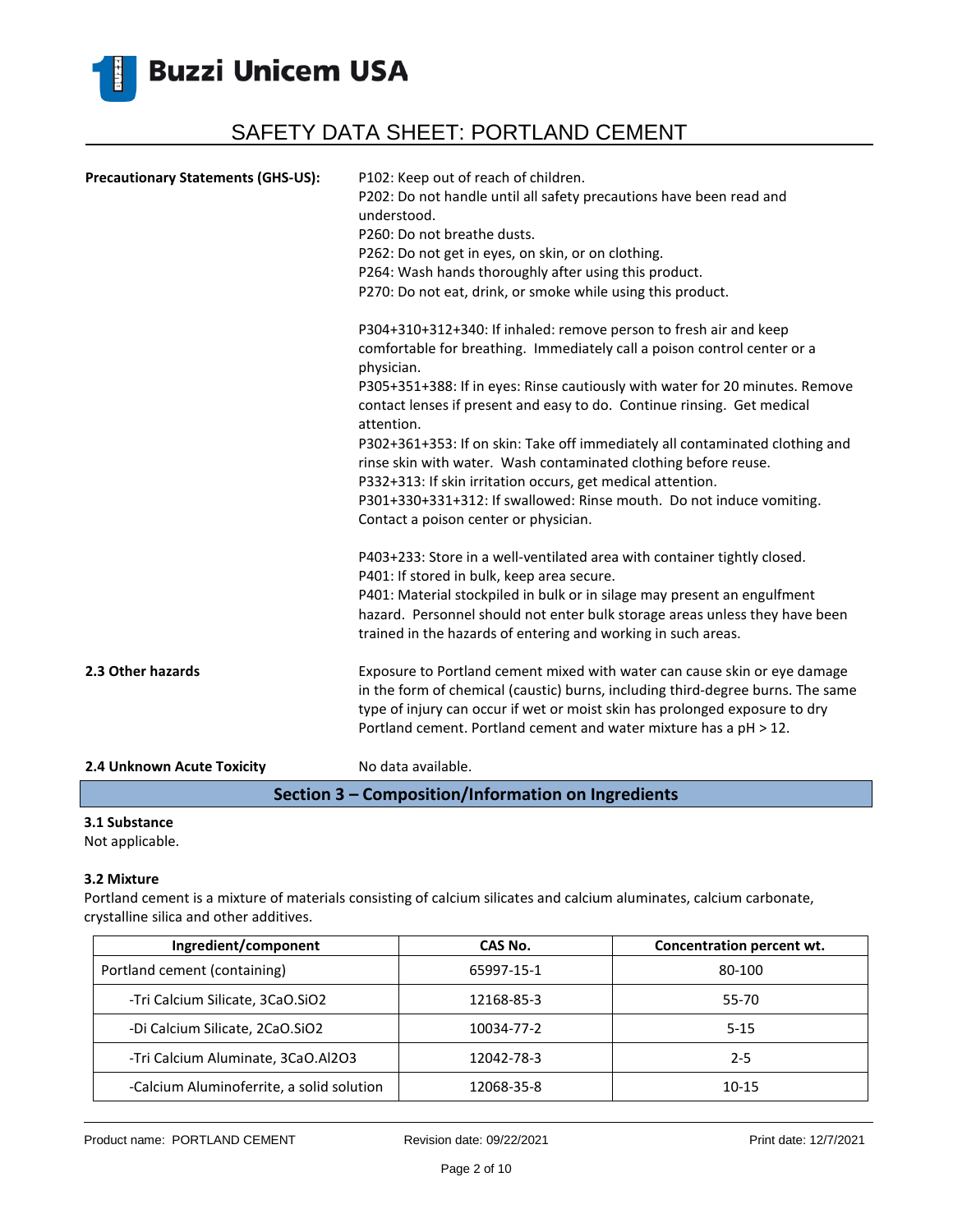

| <b>Precautionary Statements (GHS-US):</b> | P102: Keep out of reach of children.<br>P202: Do not handle until all safety precautions have been read and<br>understood.<br>P260: Do not breathe dusts.<br>P262: Do not get in eyes, on skin, or on clothing.<br>P264: Wash hands thoroughly after using this product.<br>P270: Do not eat, drink, or smoke while using this product.                                                                                  |
|-------------------------------------------|--------------------------------------------------------------------------------------------------------------------------------------------------------------------------------------------------------------------------------------------------------------------------------------------------------------------------------------------------------------------------------------------------------------------------|
|                                           | P304+310+312+340: If inhaled: remove person to fresh air and keep<br>comfortable for breathing. Immediately call a poison control center or a<br>physician.<br>P305+351+388: If in eyes: Rinse cautiously with water for 20 minutes. Remove                                                                                                                                                                              |
|                                           | contact lenses if present and easy to do. Continue rinsing. Get medical<br>attention.<br>P302+361+353: If on skin: Take off immediately all contaminated clothing and<br>rinse skin with water. Wash contaminated clothing before reuse.<br>P332+313: If skin irritation occurs, get medical attention.<br>P301+330+331+312: If swallowed: Rinse mouth. Do not induce vomiting.<br>Contact a poison center or physician. |
|                                           | P403+233: Store in a well-ventilated area with container tightly closed.<br>P401: If stored in bulk, keep area secure.<br>P401: Material stockpiled in bulk or in silage may present an engulfment<br>hazard. Personnel should not enter bulk storage areas unless they have been<br>trained in the hazards of entering and working in such areas.                                                                       |
| 2.3 Other hazards                         | Exposure to Portland cement mixed with water can cause skin or eye damage<br>in the form of chemical (caustic) burns, including third-degree burns. The same<br>type of injury can occur if wet or moist skin has prolonged exposure to dry<br>Portland cement. Portland cement and water mixture has a pH > 12.                                                                                                         |
| 2.4 Unknown Acute Toxicity                | No data available.                                                                                                                                                                                                                                                                                                                                                                                                       |

**Section 3 – Composition/Information on Ingredients**

### **3.1 Substance**

Not applicable.

#### **3.2 Mixture**

Portland cement is a mixture of materials consisting of calcium silicates and calcium aluminates, calcium carbonate, crystalline silica and other additives.

| Ingredient/component                      | CAS No.    | Concentration percent wt. |
|-------------------------------------------|------------|---------------------------|
| Portland cement (containing)              | 65997-15-1 | 80-100                    |
| -Tri Calcium Silicate, 3CaO.SiO2          | 12168-85-3 | 55-70                     |
| -Di Calcium Silicate, 2CaO.SiO2           | 10034-77-2 | $5 - 15$                  |
| -Tri Calcium Aluminate, 3CaO.Al2O3        | 12042-78-3 | $2 - 5$                   |
| -Calcium Aluminoferrite, a solid solution | 12068-35-8 | 10-15                     |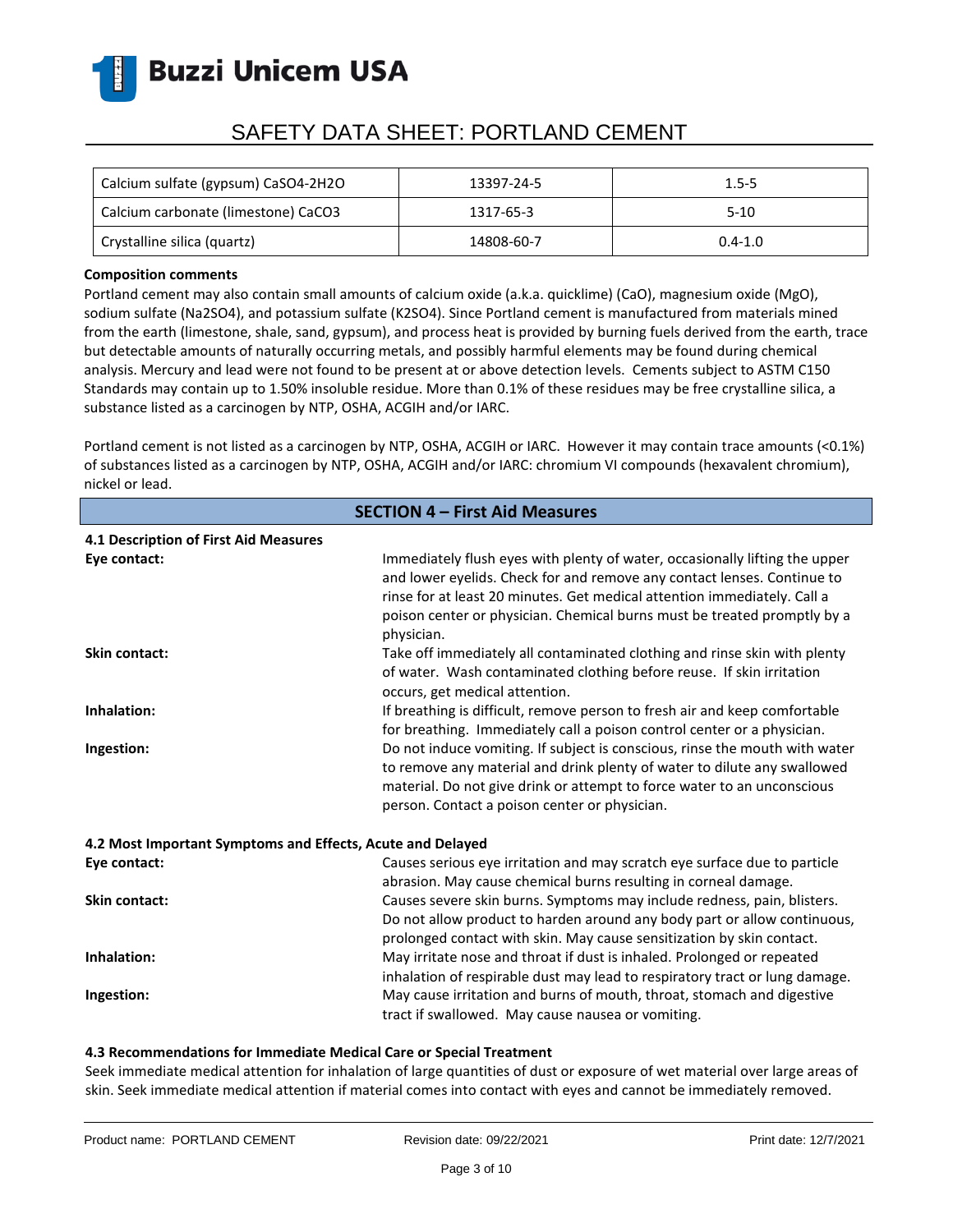

# SAFETY DATA SHEET: PORTLAND CEMENT

| Calcium sulfate (gypsum) CaSO4-2H2O | 13397-24-5 | $1.5 - 5$   |
|-------------------------------------|------------|-------------|
| Calcium carbonate (limestone) CaCO3 | 1317-65-3  | $5-10$      |
| Crystalline silica (quartz)         | 14808-60-7 | $0.4 - 1.0$ |

### **Composition comments**

Portland cement may also contain small amounts of calcium oxide (a.k.a. quicklime) (CaO), magnesium oxide (MgO), sodium sulfate (Na2SO4), and potassium sulfate (K2SO4). Since Portland cement is manufactured from materials mined from the earth (limestone, shale, sand, gypsum), and process heat is provided by burning fuels derived from the earth, trace but detectable amounts of naturally occurring metals, and possibly harmful elements may be found during chemical analysis. Mercury and lead were not found to be present at or above detection levels. Cements subject to ASTM C150 Standards may contain up to 1.50% insoluble residue. More than 0.1% of these residues may be free crystalline silica, a substance listed as a carcinogen by NTP, OSHA, ACGIH and/or IARC.

Portland cement is not listed as a carcinogen by NTP, OSHA, ACGIH or IARC. However it may contain trace amounts (<0.1%) of substances listed as a carcinogen by NTP, OSHA, ACGIH and/or IARC: chromium VI compounds (hexavalent chromium), nickel or lead.

| <b>SECTION 4 - First Aid Measures</b>                      |                                                                                                                                                                                                                                                                                                                              |  |
|------------------------------------------------------------|------------------------------------------------------------------------------------------------------------------------------------------------------------------------------------------------------------------------------------------------------------------------------------------------------------------------------|--|
| 4.1 Description of First Aid Measures                      |                                                                                                                                                                                                                                                                                                                              |  |
| Eye contact:                                               | Immediately flush eyes with plenty of water, occasionally lifting the upper<br>and lower eyelids. Check for and remove any contact lenses. Continue to<br>rinse for at least 20 minutes. Get medical attention immediately. Call a<br>poison center or physician. Chemical burns must be treated promptly by a<br>physician. |  |
| <b>Skin contact:</b>                                       | Take off immediately all contaminated clothing and rinse skin with plenty<br>of water. Wash contaminated clothing before reuse. If skin irritation<br>occurs, get medical attention.                                                                                                                                         |  |
| Inhalation:                                                | If breathing is difficult, remove person to fresh air and keep comfortable<br>for breathing. Immediately call a poison control center or a physician.                                                                                                                                                                        |  |
| Ingestion:                                                 | Do not induce vomiting. If subject is conscious, rinse the mouth with water<br>to remove any material and drink plenty of water to dilute any swallowed<br>material. Do not give drink or attempt to force water to an unconscious<br>person. Contact a poison center or physician.                                          |  |
| 4.2 Most Important Symptoms and Effects, Acute and Delayed |                                                                                                                                                                                                                                                                                                                              |  |
| Eye contact:                                               | Causes serious eye irritation and may scratch eye surface due to particle<br>abrasion. May cause chemical burns resulting in corneal damage.                                                                                                                                                                                 |  |
| <b>Skin contact:</b>                                       | Causes severe skin burns. Symptoms may include redness, pain, blisters.<br>Do not allow product to harden around any body part or allow continuous,<br>prolonged contact with skin. May cause sensitization by skin contact.                                                                                                 |  |
| Inhalation:                                                | May irritate nose and throat if dust is inhaled. Prolonged or repeated<br>inhalation of respirable dust may lead to respiratory tract or lung damage.                                                                                                                                                                        |  |
| Ingestion:                                                 | May cause irritation and burns of mouth, throat, stomach and digestive<br>tract if swallowed. May cause nausea or vomiting.                                                                                                                                                                                                  |  |

### **4.3 Recommendations for Immediate Medical Care or Special Treatment**

Seek immediate medical attention for inhalation of large quantities of dust or exposure of wet material over large areas of skin. Seek immediate medical attention if material comes into contact with eyes and cannot be immediately removed.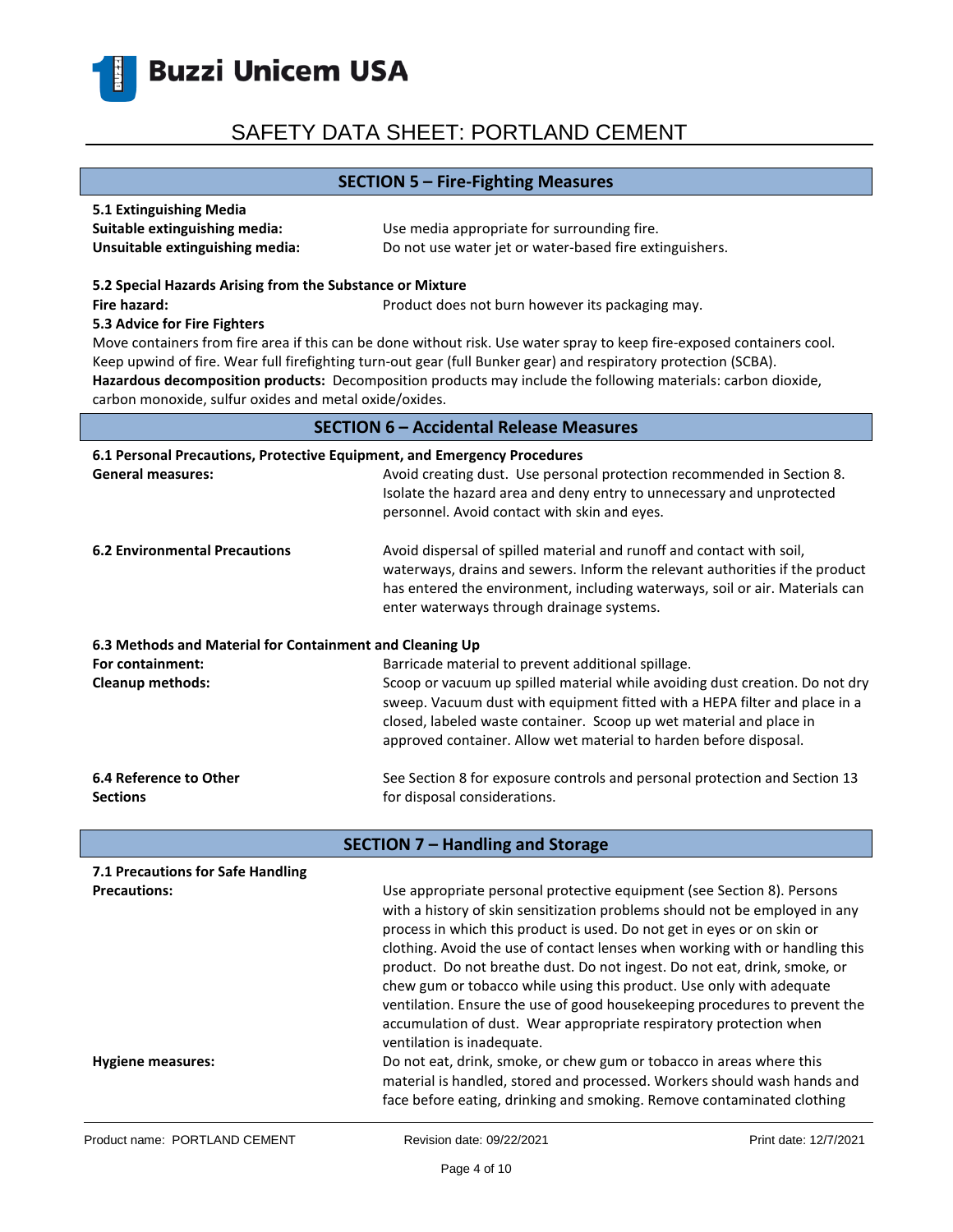

### **SECTION 5 – Fire-Fighting Measures**

| 5.1 Extinguishing Media         |                                                         |
|---------------------------------|---------------------------------------------------------|
| Suitable extinguishing media:   | Use media appropriate for surrounding fire.             |
| Unsuitable extinguishing media: | Do not use water jet or water-based fire extinguishers. |

#### **5.2 Special Hazards Arising from the Substance or Mixture**

**Fire hazard: Product does not burn however its packaging may.** Product does not burn however its packaging may.

#### **5.3 Advice for Fire Fighters**

Move containers from fire area if this can be done without risk. Use water spray to keep fire-exposed containers cool. Keep upwind of fire. Wear full firefighting turn-out gear (full Bunker gear) and respiratory protection (SCBA). **Hazardous decomposition products:** Decomposition products may include the following materials: carbon dioxide, carbon monoxide, sulfur oxides and metal oxide/oxides.

### **SECTION 6 – Accidental Release Measures**

| 6.1 Personal Precautions, Protective Equipment, and Emergency Procedures |                                                                                                                                                                                                                                                                                    |  |
|--------------------------------------------------------------------------|------------------------------------------------------------------------------------------------------------------------------------------------------------------------------------------------------------------------------------------------------------------------------------|--|
| <b>General measures:</b>                                                 | Avoid creating dust. Use personal protection recommended in Section 8.<br>Isolate the hazard area and deny entry to unnecessary and unprotected<br>personnel. Avoid contact with skin and eyes.                                                                                    |  |
| <b>6.2 Environmental Precautions</b>                                     | Avoid dispersal of spilled material and runoff and contact with soil,<br>waterways, drains and sewers. Inform the relevant authorities if the product<br>has entered the environment, including waterways, soil or air. Materials can<br>enter waterways through drainage systems. |  |
| 6.3 Methods and Material for Containment and Cleaning Up                 |                                                                                                                                                                                                                                                                                    |  |
| For containment:                                                         | Barricade material to prevent additional spillage.                                                                                                                                                                                                                                 |  |
| <b>Cleanup methods:</b>                                                  | Scoop or vacuum up spilled material while avoiding dust creation. Do not dry                                                                                                                                                                                                       |  |
|                                                                          | sweep. Vacuum dust with equipment fitted with a HEPA filter and place in a                                                                                                                                                                                                         |  |
|                                                                          | closed, labeled waste container. Scoop up wet material and place in                                                                                                                                                                                                                |  |
|                                                                          | approved container. Allow wet material to harden before disposal.                                                                                                                                                                                                                  |  |
| 6.4 Reference to Other                                                   | See Section 8 for exposure controls and personal protection and Section 13                                                                                                                                                                                                         |  |
| <b>Sections</b>                                                          | for disposal considerations.                                                                                                                                                                                                                                                       |  |
| <b>SECTION 7 - Handling and Storage</b>                                  |                                                                                                                                                                                                                                                                                    |  |
| 7.1 Precautions for Safe Handling                                        |                                                                                                                                                                                                                                                                                    |  |
| <b>Precautions:</b>                                                      | Use appropriate personal protective equipment (see Section 8). Persons                                                                                                                                                                                                             |  |
|                                                                          | with a history of skin sensitization problems should not be employed in any                                                                                                                                                                                                        |  |
|                                                                          | process in which this product is used. Do not get in eyes or on skin or                                                                                                                                                                                                            |  |
|                                                                          | clothing. Avoid the use of contact lenses when working with or handling this                                                                                                                                                                                                       |  |
|                                                                          | product. Do not breathe dust. Do not ingest. Do not eat, drink, smoke, or                                                                                                                                                                                                          |  |
|                                                                          | chew gum or tobacco while using this product. Use only with adequate                                                                                                                                                                                                               |  |
|                                                                          | ventilation. Ensure the use of good housekeeping procedures to prevent the                                                                                                                                                                                                         |  |

**Hygiene measures:** Do not eat, drink, smoke, or chew gum or tobacco in areas where this

ventilation is inadequate.

accumulation of dust. Wear appropriate respiratory protection when

material is handled, stored and processed. Workers should wash hands and face before eating, drinking and smoking. Remove contaminated clothing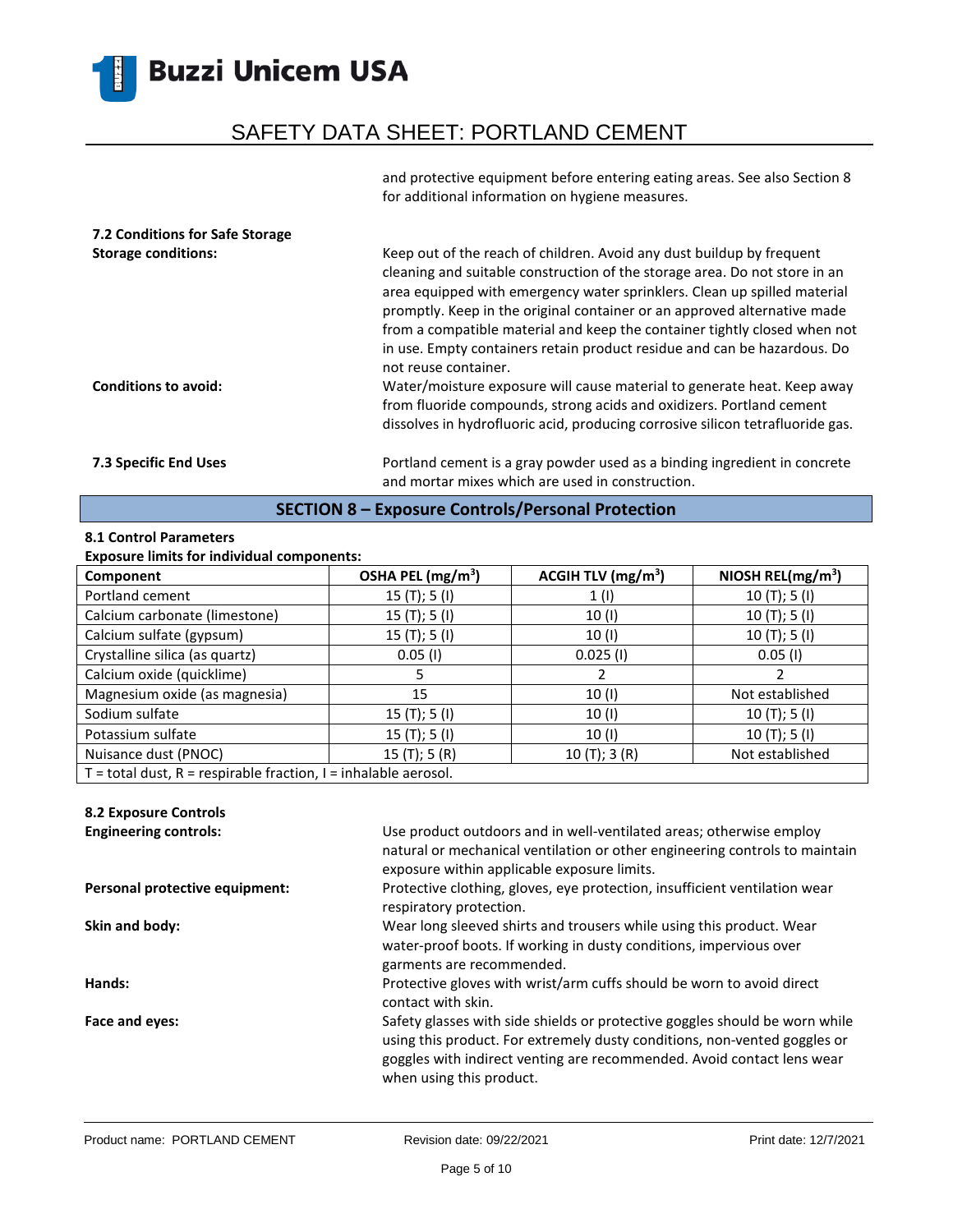## SAFETY DATA SHEET: PORTLAND CEMENT

and protective equipment before entering eating areas. See also Section 8 for additional information on hygiene measures.

| 7.2 Conditions for Safe Storage<br><b>Storage conditions:</b><br><b>Conditions to avoid:</b> | Keep out of the reach of children. Avoid any dust buildup by frequent<br>cleaning and suitable construction of the storage area. Do not store in an<br>area equipped with emergency water sprinklers. Clean up spilled material<br>promptly. Keep in the original container or an approved alternative made<br>from a compatible material and keep the container tightly closed when not<br>in use. Empty containers retain product residue and can be hazardous. Do<br>not reuse container.<br>Water/moisture exposure will cause material to generate heat. Keep away |
|----------------------------------------------------------------------------------------------|-------------------------------------------------------------------------------------------------------------------------------------------------------------------------------------------------------------------------------------------------------------------------------------------------------------------------------------------------------------------------------------------------------------------------------------------------------------------------------------------------------------------------------------------------------------------------|
|                                                                                              | from fluoride compounds, strong acids and oxidizers. Portland cement<br>dissolves in hydrofluoric acid, producing corrosive silicon tetrafluoride gas.                                                                                                                                                                                                                                                                                                                                                                                                                  |
| <b>7.3 Specific End Uses</b>                                                                 | Portland cement is a gray powder used as a binding ingredient in concrete<br>and mortar mixes which are used in construction.                                                                                                                                                                                                                                                                                                                                                                                                                                           |

### **SECTION 8 – Exposure Controls/Personal Protection**

### **8.1 Control Parameters**

### **Exposure limits for individual components:**

| Component                                                             | OSHA PEL (mg/m <sup>3</sup> ) | ACGIH TLV (mg/m <sup>3</sup> ) | NIOSH REL(mg/m <sup>3</sup> ) |
|-----------------------------------------------------------------------|-------------------------------|--------------------------------|-------------------------------|
| Portland cement                                                       | 15(T); 5(I)                   | 1(1)                           | 10(T); 5(I)                   |
| Calcium carbonate (limestone)                                         | 15(T); 5(I)                   | 10 (I)                         | 10(T); 5(I)                   |
| Calcium sulfate (gypsum)                                              | 15(T); 5(I)                   | 10(1)                          | 10(T); 5(I)                   |
| Crystalline silica (as quartz)                                        | $0.05$ (I)                    | $0.025$ (I)                    | $0.05$ (I)                    |
| Calcium oxide (quicklime)                                             |                               |                                |                               |
| Magnesium oxide (as magnesia)                                         | 15                            | 10(1)                          | Not established               |
| Sodium sulfate                                                        | 15(T); 5(I)                   | 10(1)                          | 10(T); 5(I)                   |
| Potassium sulfate                                                     | 15(T); 5(I)                   | 10 (I)                         | 10(T); 5(I)                   |
| Nuisance dust (PNOC)                                                  | 15(T); 5(R)                   | 10(T); 3(R)                    | Not established               |
| $T =$ total dust, $R =$ respirable fraction, $I =$ inhalable aerosol. |                               |                                |                               |

### **8.2 Exposure Controls**

| <b>Engineering controls:</b>   | Use product outdoors and in well-ventilated areas; otherwise employ<br>natural or mechanical ventilation or other engineering controls to maintain<br>exposure within applicable exposure limits.                                                              |
|--------------------------------|----------------------------------------------------------------------------------------------------------------------------------------------------------------------------------------------------------------------------------------------------------------|
| Personal protective equipment: | Protective clothing, gloves, eye protection, insufficient ventilation wear<br>respiratory protection.                                                                                                                                                          |
| Skin and body:                 | Wear long sleeved shirts and trousers while using this product. Wear<br>water-proof boots. If working in dusty conditions, impervious over<br>garments are recommended.                                                                                        |
| Hands:                         | Protective gloves with wrist/arm cuffs should be worn to avoid direct<br>contact with skin.                                                                                                                                                                    |
| Face and eyes:                 | Safety glasses with side shields or protective goggles should be worn while<br>using this product. For extremely dusty conditions, non-vented goggles or<br>goggles with indirect venting are recommended. Avoid contact lens wear<br>when using this product. |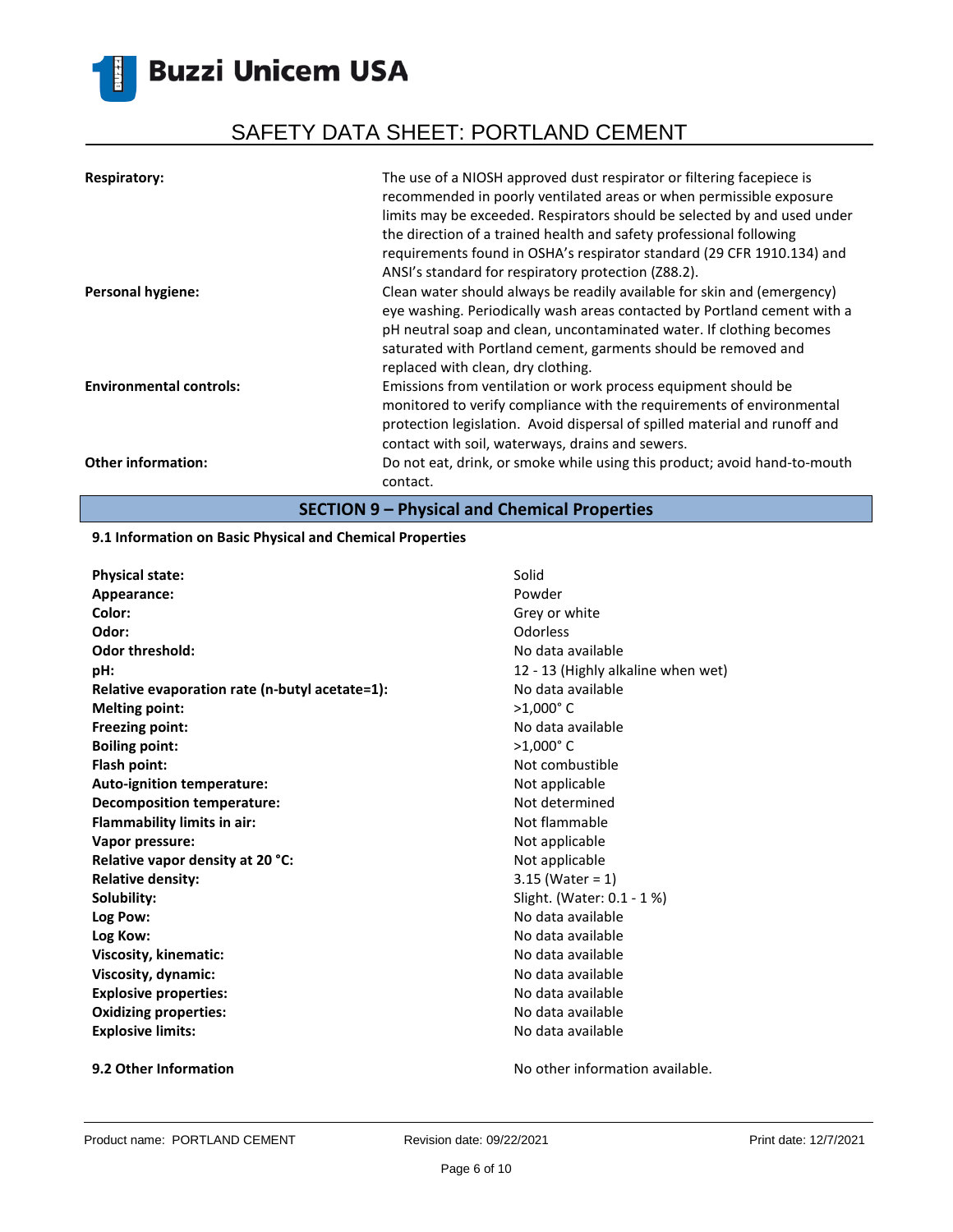# SAFETY DATA SHEET: PORTLAND CEMENT

| <b>Respiratory:</b>            | The use of a NIOSH approved dust respirator or filtering facepiece is<br>recommended in poorly ventilated areas or when permissible exposure<br>limits may be exceeded. Respirators should be selected by and used under<br>the direction of a trained health and safety professional following<br>requirements found in OSHA's respirator standard (29 CFR 1910.134) and<br>ANSI's standard for respiratory protection (Z88.2). |
|--------------------------------|----------------------------------------------------------------------------------------------------------------------------------------------------------------------------------------------------------------------------------------------------------------------------------------------------------------------------------------------------------------------------------------------------------------------------------|
| <b>Personal hygiene:</b>       | Clean water should always be readily available for skin and (emergency)<br>eye washing. Periodically wash areas contacted by Portland cement with a<br>pH neutral soap and clean, uncontaminated water. If clothing becomes<br>saturated with Portland cement, garments should be removed and<br>replaced with clean, dry clothing.                                                                                              |
| <b>Environmental controls:</b> | Emissions from ventilation or work process equipment should be<br>monitored to verify compliance with the requirements of environmental<br>protection legislation. Avoid dispersal of spilled material and runoff and<br>contact with soil, waterways, drains and sewers.                                                                                                                                                        |
| <b>Other information:</b>      | Do not eat, drink, or smoke while using this product; avoid hand-to-mouth<br>contact.                                                                                                                                                                                                                                                                                                                                            |

**SECTION 9 – Physical and Chemical Properties**

### **9.1 Information on Basic Physical and Chemical Properties**

| <b>Physical state:</b>                         | Solid                              |
|------------------------------------------------|------------------------------------|
| Appearance:                                    | Powder                             |
| Color:                                         | Grey or white                      |
| Odor:                                          | Odorless                           |
| <b>Odor threshold:</b>                         | No data available                  |
| pH:                                            | 12 - 13 (Highly alkaline when wet) |
| Relative evaporation rate (n-butyl acetate=1): | No data available                  |
| <b>Melting point:</b>                          | $>1,000$ °C                        |
| Freezing point:                                | No data available                  |
| <b>Boiling point:</b>                          | $>1,000$ °C                        |
| Flash point:                                   | Not combustible                    |
| Auto-ignition temperature:                     | Not applicable                     |
| <b>Decomposition temperature:</b>              | Not determined                     |
| <b>Flammability limits in air:</b>             | Not flammable                      |
| Vapor pressure:                                | Not applicable                     |
| Relative vapor density at 20 °C:               | Not applicable                     |
| <b>Relative density:</b>                       | $3.15$ (Water = 1)                 |
| Solubility:                                    | Slight. (Water: 0.1 - 1 %)         |
| Log Pow:                                       | No data available                  |
| Log Kow:                                       | No data available                  |
| Viscosity, kinematic:                          | No data available                  |
| Viscosity, dynamic:                            | No data available                  |
| <b>Explosive properties:</b>                   | No data available                  |
| <b>Oxidizing properties:</b>                   | No data available                  |
| <b>Explosive limits:</b>                       | No data available                  |
|                                                |                                    |

**9.2 Other Information 19.2 Other Information No other information available.**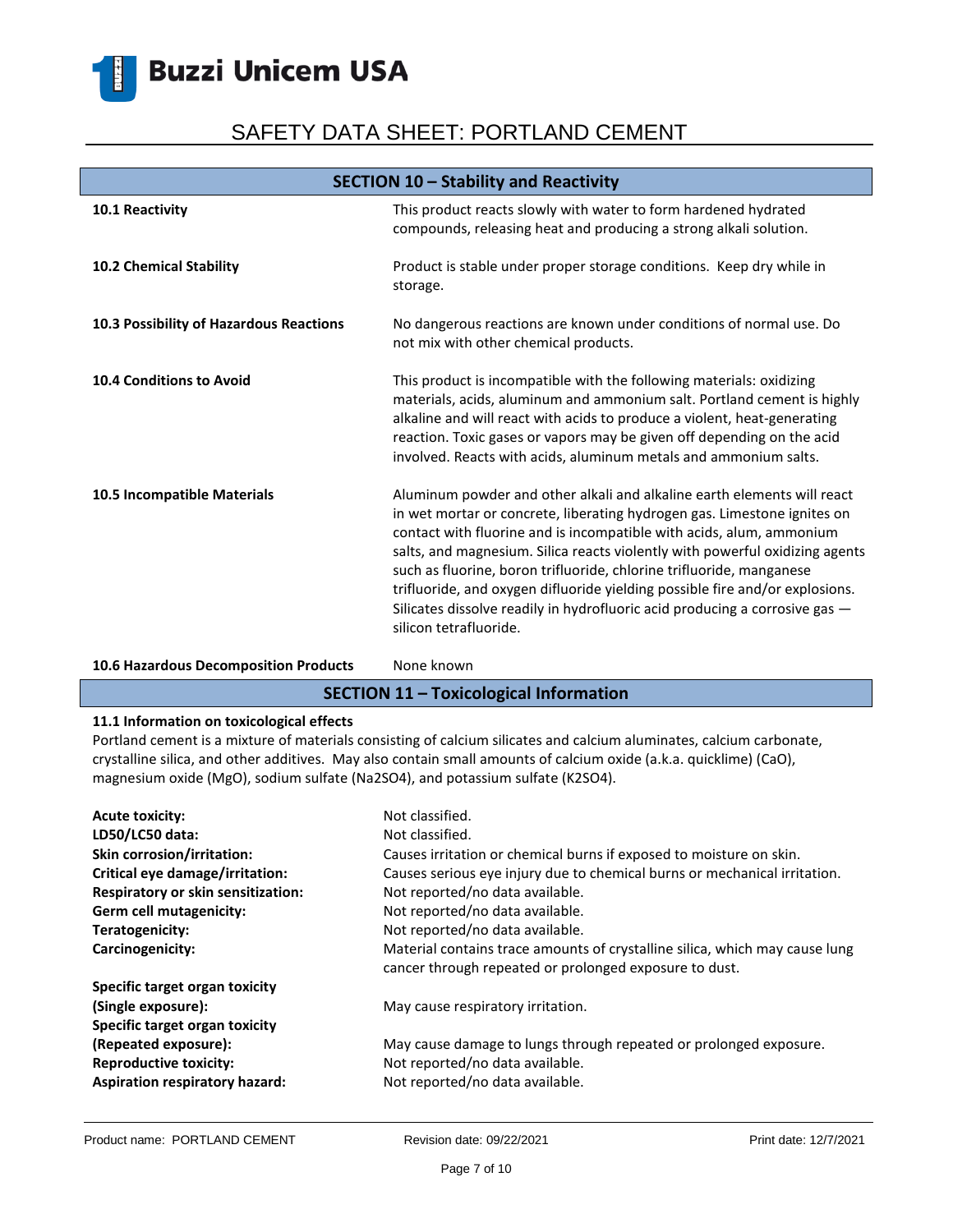# SAFETY DATA SHEET: PORTLAND CEMENT

| SECTION 10 - Stability and Reactivity   |                                                                                                                                                                                                                                                                                                                                                                                                                                                                                                                                                                              |
|-----------------------------------------|------------------------------------------------------------------------------------------------------------------------------------------------------------------------------------------------------------------------------------------------------------------------------------------------------------------------------------------------------------------------------------------------------------------------------------------------------------------------------------------------------------------------------------------------------------------------------|
| 10.1 Reactivity                         | This product reacts slowly with water to form hardened hydrated<br>compounds, releasing heat and producing a strong alkali solution.                                                                                                                                                                                                                                                                                                                                                                                                                                         |
| 10.2 Chemical Stability                 | Product is stable under proper storage conditions. Keep dry while in<br>storage.                                                                                                                                                                                                                                                                                                                                                                                                                                                                                             |
| 10.3 Possibility of Hazardous Reactions | No dangerous reactions are known under conditions of normal use. Do<br>not mix with other chemical products.                                                                                                                                                                                                                                                                                                                                                                                                                                                                 |
| <b>10.4 Conditions to Avoid</b>         | This product is incompatible with the following materials: oxidizing<br>materials, acids, aluminum and ammonium salt. Portland cement is highly<br>alkaline and will react with acids to produce a violent, heat-generating<br>reaction. Toxic gases or vapors may be given off depending on the acid<br>involved. Reacts with acids, aluminum metals and ammonium salts.                                                                                                                                                                                                    |
| 10.5 Incompatible Materials             | Aluminum powder and other alkali and alkaline earth elements will react<br>in wet mortar or concrete, liberating hydrogen gas. Limestone ignites on<br>contact with fluorine and is incompatible with acids, alum, ammonium<br>salts, and magnesium. Silica reacts violently with powerful oxidizing agents<br>such as fluorine, boron trifluoride, chlorine trifluoride, manganese<br>trifluoride, and oxygen difluoride yielding possible fire and/or explosions.<br>Silicates dissolve readily in hydrofluoric acid producing a corrosive gas -<br>silicon tetrafluoride. |

### 10.6 Hazardous Decomposition Products None known

### **SECTION 11 – Toxicological Information**

### **11.1 Information on toxicological effects**

Portland cement is a mixture of materials consisting of calcium silicates and calcium aluminates, calcium carbonate, crystalline silica, and other additives. May also contain small amounts of calcium oxide (a.k.a. quicklime) (CaO), magnesium oxide (MgO), sodium sulfate (Na2SO4), and potassium sulfate (K2SO4).

| <b>Acute toxicity:</b><br>LD50/LC50 data: | Not classified.<br>Not classified.                                                                                                    |
|-------------------------------------------|---------------------------------------------------------------------------------------------------------------------------------------|
| <b>Skin corrosion/irritation:</b>         | Causes irritation or chemical burns if exposed to moisture on skin.                                                                   |
| Critical eye damage/irritation:           | Causes serious eye injury due to chemical burns or mechanical irritation.                                                             |
| Respiratory or skin sensitization:        | Not reported/no data available.                                                                                                       |
| Germ cell mutagenicity:                   | Not reported/no data available.                                                                                                       |
| Teratogenicity:                           | Not reported/no data available.                                                                                                       |
| Carcinogenicity:                          | Material contains trace amounts of crystalline silica, which may cause lung<br>cancer through repeated or prolonged exposure to dust. |
| Specific target organ toxicity            |                                                                                                                                       |
| (Single exposure):                        | May cause respiratory irritation.                                                                                                     |
| Specific target organ toxicity            |                                                                                                                                       |
| (Repeated exposure):                      | May cause damage to lungs through repeated or prolonged exposure.                                                                     |
| <b>Reproductive toxicity:</b>             | Not reported/no data available.                                                                                                       |
| Aspiration respiratory hazard:            | Not reported/no data available.                                                                                                       |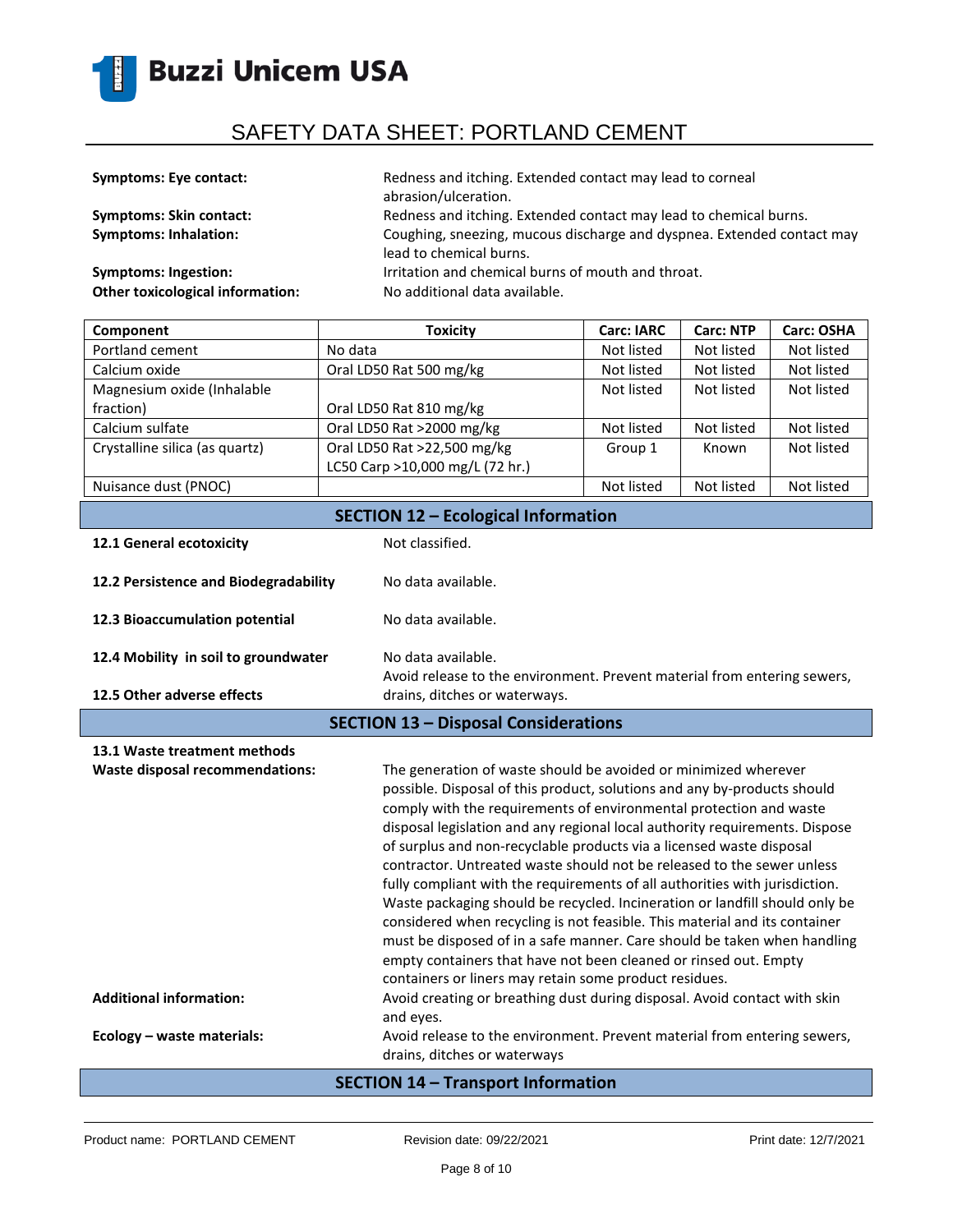

| <b>Symptoms: Eye contact:</b>           | Redness and itching. Extended contact may lead to corneal<br>abrasion/ulceration.                 |
|-----------------------------------------|---------------------------------------------------------------------------------------------------|
| <b>Symptoms: Skin contact:</b>          | Redness and itching. Extended contact may lead to chemical burns.                                 |
| <b>Symptoms: Inhalation:</b>            | Coughing, sneezing, mucous discharge and dyspnea. Extended contact may<br>lead to chemical burns. |
| <b>Symptoms: Ingestion:</b>             | Irritation and chemical burns of mouth and throat.                                                |
| <b>Other toxicological information:</b> | No additional data available.                                                                     |

| Component                                  | <b>Toxicity</b>                 | <b>Carc: IARC</b> | <b>Carc: NTP</b> | <b>Carc: OSHA</b> |
|--------------------------------------------|---------------------------------|-------------------|------------------|-------------------|
| Portland cement                            | No data                         | Not listed        | Not listed       | Not listed        |
| Calcium oxide                              | Oral LD50 Rat 500 mg/kg         | Not listed        | Not listed       | Not listed        |
| Magnesium oxide (Inhalable                 |                                 | Not listed        | Not listed       | Not listed        |
| fraction)                                  | Oral LD50 Rat 810 mg/kg         |                   |                  |                   |
| Calcium sulfate                            | Oral LD50 Rat >2000 mg/kg       | Not listed        | Not listed       | Not listed        |
| Crystalline silica (as quartz)             | Oral LD50 Rat >22,500 mg/kg     | Group 1           | Known            | Not listed        |
|                                            | LC50 Carp >10,000 mg/L (72 hr.) |                   |                  |                   |
| Nuisance dust (PNOC)                       |                                 | Not listed        | Not listed       | Not listed        |
| <b>SECTION 12 - Ecological Information</b> |                                 |                   |                  |                   |

| 12.1 General ecotoxicity                    | Not classified.                                                                                |
|---------------------------------------------|------------------------------------------------------------------------------------------------|
| 12.2 Persistence and Biodegradability       | No data available.                                                                             |
| 12.3 Bioaccumulation potential              | No data available.                                                                             |
| 12.4 Mobility in soil to groundwater        | No data available.<br>Avoid release to the environment. Prevent material from entering sewers, |
| 12.5 Other adverse effects                  | drains, ditches or waterways.                                                                  |
| <b>SECTION 13 - Disposal Considerations</b> |                                                                                                |

| 13.1 Waste treatment methods                                      |                                                                                                                                                                                                                                                                                                                                                                                                                                                                                                                                                                                                                                                                                                                                                                                                                                                                                                                                                                                       |
|-------------------------------------------------------------------|---------------------------------------------------------------------------------------------------------------------------------------------------------------------------------------------------------------------------------------------------------------------------------------------------------------------------------------------------------------------------------------------------------------------------------------------------------------------------------------------------------------------------------------------------------------------------------------------------------------------------------------------------------------------------------------------------------------------------------------------------------------------------------------------------------------------------------------------------------------------------------------------------------------------------------------------------------------------------------------|
| Waste disposal recommendations:<br><b>Additional information:</b> | The generation of waste should be avoided or minimized wherever<br>possible. Disposal of this product, solutions and any by-products should<br>comply with the requirements of environmental protection and waste<br>disposal legislation and any regional local authority requirements. Dispose<br>of surplus and non-recyclable products via a licensed waste disposal<br>contractor. Untreated waste should not be released to the sewer unless<br>fully compliant with the requirements of all authorities with jurisdiction.<br>Waste packaging should be recycled. Incineration or landfill should only be<br>considered when recycling is not feasible. This material and its container<br>must be disposed of in a safe manner. Care should be taken when handling<br>empty containers that have not been cleaned or rinsed out. Empty<br>containers or liners may retain some product residues.<br>Avoid creating or breathing dust during disposal. Avoid contact with skin |
|                                                                   | and eyes.                                                                                                                                                                                                                                                                                                                                                                                                                                                                                                                                                                                                                                                                                                                                                                                                                                                                                                                                                                             |
| Ecology - waste materials:                                        | Avoid release to the environment. Prevent material from entering sewers,<br>drains, ditches or waterways                                                                                                                                                                                                                                                                                                                                                                                                                                                                                                                                                                                                                                                                                                                                                                                                                                                                              |

### **SECTION 14 – Transport Information**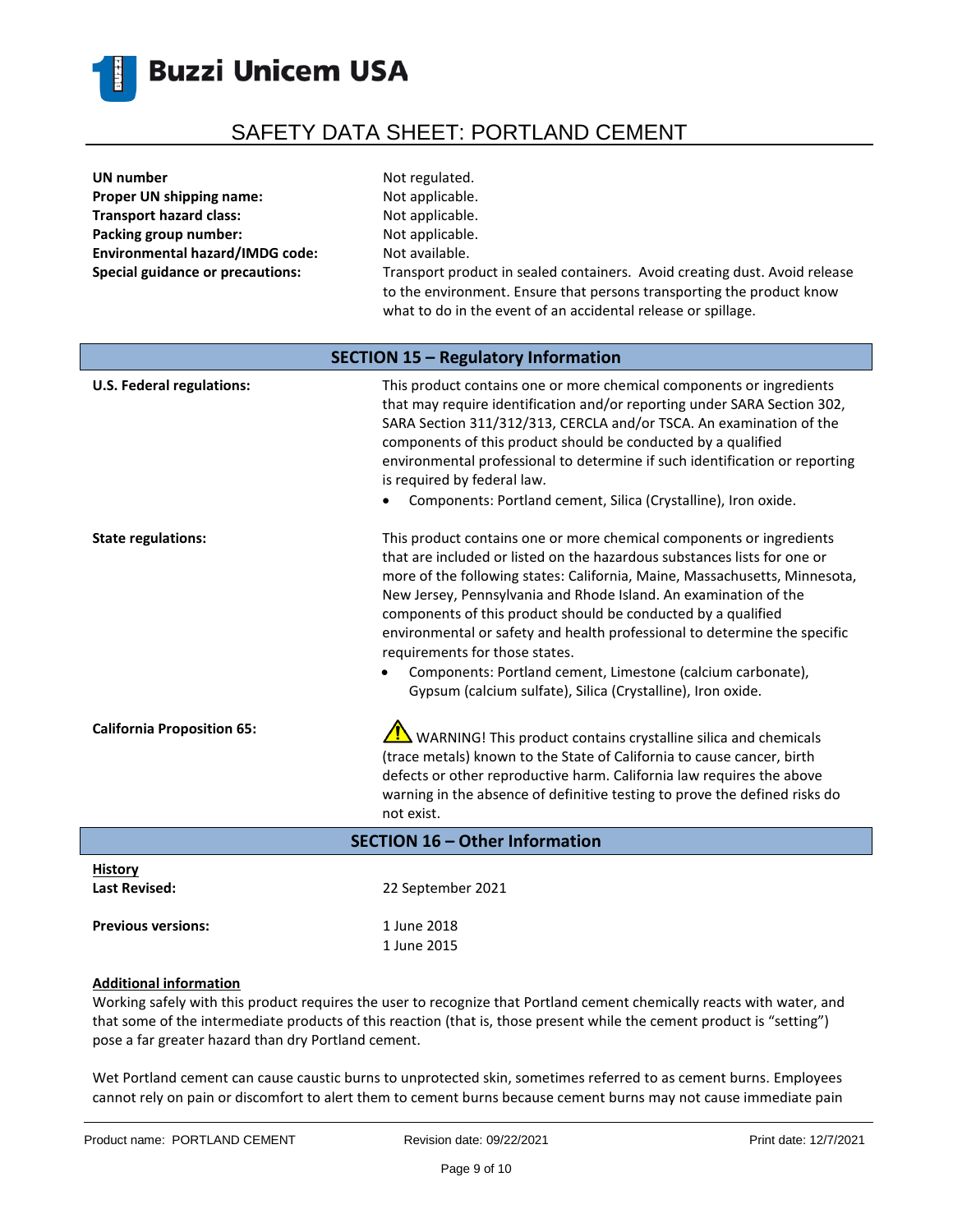

| UN number                               | Not regulated.                                                                                                                                                                                                       |
|-----------------------------------------|----------------------------------------------------------------------------------------------------------------------------------------------------------------------------------------------------------------------|
| Proper UN shipping name:                | Not applicable.                                                                                                                                                                                                      |
| <b>Transport hazard class:</b>          | Not applicable.                                                                                                                                                                                                      |
| Packing group number:                   | Not applicable.                                                                                                                                                                                                      |
| <b>Environmental hazard/IMDG code:</b>  | Not available.                                                                                                                                                                                                       |
| <b>Special guidance or precautions:</b> | Transport product in sealed containers. Avoid creating dust. Avoid release<br>to the environment. Ensure that persons transporting the product know<br>what to do in the event of an accidental release or spillage. |
| SECTION 15 - Regulatory Information     |                                                                                                                                                                                                                      |

| <b>U.S. Federal regulations:</b>       | This product contains one or more chemical components or ingredients<br>that may require identification and/or reporting under SARA Section 302,<br>SARA Section 311/312/313, CERCLA and/or TSCA. An examination of the<br>components of this product should be conducted by a qualified<br>environmental professional to determine if such identification or reporting<br>is required by federal law.<br>Components: Portland cement, Silica (Crystalline), Iron oxide.                                                                                                                                              |
|----------------------------------------|-----------------------------------------------------------------------------------------------------------------------------------------------------------------------------------------------------------------------------------------------------------------------------------------------------------------------------------------------------------------------------------------------------------------------------------------------------------------------------------------------------------------------------------------------------------------------------------------------------------------------|
| <b>State regulations:</b>              | This product contains one or more chemical components or ingredients<br>that are included or listed on the hazardous substances lists for one or<br>more of the following states: California, Maine, Massachusetts, Minnesota,<br>New Jersey, Pennsylvania and Rhode Island. An examination of the<br>components of this product should be conducted by a qualified<br>environmental or safety and health professional to determine the specific<br>requirements for those states.<br>Components: Portland cement, Limestone (calcium carbonate),<br>٠<br>Gypsum (calcium sulfate), Silica (Crystalline), Iron oxide. |
| <b>California Proposition 65:</b>      | WARNING! This product contains crystalline silica and chemicals<br>(trace metals) known to the State of California to cause cancer, birth<br>defects or other reproductive harm. California law requires the above<br>warning in the absence of definitive testing to prove the defined risks do<br>not exist.                                                                                                                                                                                                                                                                                                        |
| <b>SECTION 16 - Other Information</b>  |                                                                                                                                                                                                                                                                                                                                                                                                                                                                                                                                                                                                                       |
| <b>History</b><br><b>Last Revised:</b> | 22 September 2021                                                                                                                                                                                                                                                                                                                                                                                                                                                                                                                                                                                                     |
| <b>Previous versions:</b>              | 1 June 2018                                                                                                                                                                                                                                                                                                                                                                                                                                                                                                                                                                                                           |

### **Additional information**

Working safely with this product requires the user to recognize that Portland cement chemically reacts with water, and that some of the intermediate products of this reaction (that is, those present while the cement product is "setting") pose a far greater hazard than dry Portland cement.

1 June 2015

Wet Portland cement can cause caustic burns to unprotected skin, sometimes referred to as cement burns. Employees cannot rely on pain or discomfort to alert them to cement burns because cement burns may not cause immediate pain